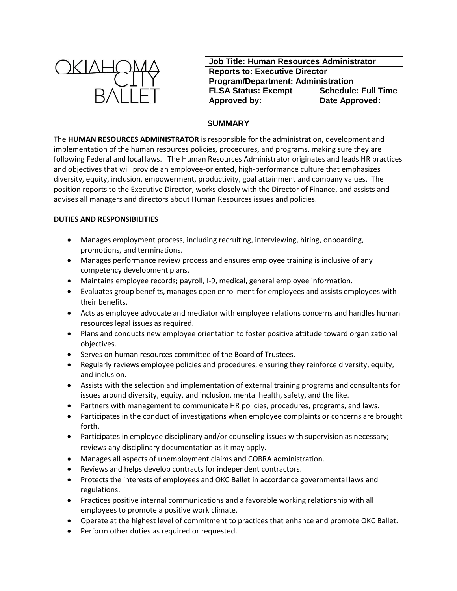

| <b>Job Title: Human Resources Administrator</b> |                            |
|-------------------------------------------------|----------------------------|
| <b>Reports to: Executive Director</b>           |                            |
| <b>Program/Department: Administration</b>       |                            |
| <b>FLSA Status: Exempt</b>                      | <b>Schedule: Full Time</b> |
| Approved by:                                    | Date Approved:             |

## **SUMMARY**

The **HUMAN RESOURCES ADMINISTRATOR** is responsible for the administration, development and implementation of the human resources policies, procedures, and programs, making sure they are following Federal and local laws. The Human Resources Administrator originates and leads HR practices and objectives that will provide an employee-oriented, high-performance culture that emphasizes diversity, equity, inclusion, empowerment, productivity, goal attainment and company values. The position reports to the Executive Director, works closely with the Director of Finance, and assists and advises all managers and directors about Human Resources issues and policies.

## **DUTIES AND RESPONSIBILITIES**

- Manages employment process, including recruiting, interviewing, hiring, onboarding, promotions, and terminations.
- Manages performance review process and ensures employee training is inclusive of any competency development plans.
- Maintains employee records; payroll, I-9, medical, general employee information.
- Evaluates group benefits, manages open enrollment for employees and assists employees with their benefits.
- Acts as employee advocate and mediator with employee relations concerns and handles human resources legal issues as required.
- Plans and conducts new employee orientation to foster positive attitude toward organizational objectives.
- Serves on human resources committee of the Board of Trustees.
- Regularly reviews employee policies and procedures, ensuring they reinforce diversity, equity, and inclusion.
- Assists with the selection and implementation of external training programs and consultants for issues around diversity, equity, and inclusion, mental health, safety, and the like.
- Partners with management to communicate HR policies, procedures, programs, and laws.
- Participates in the conduct of investigations when employee complaints or concerns are brought forth.
- Participates in employee disciplinary and/or counseling issues with supervision as necessary; reviews any disciplinary documentation as it may apply.
- Manages all aspects of unemployment claims and COBRA administration.
- Reviews and helps develop contracts for independent contractors.
- Protects the interests of employees and OKC Ballet in accordance governmental laws and regulations.
- Practices positive internal communications and a favorable working relationship with all employees to promote a positive work climate.
- Operate at the highest level of commitment to practices that enhance and promote OKC Ballet.
- Perform other duties as required or requested.